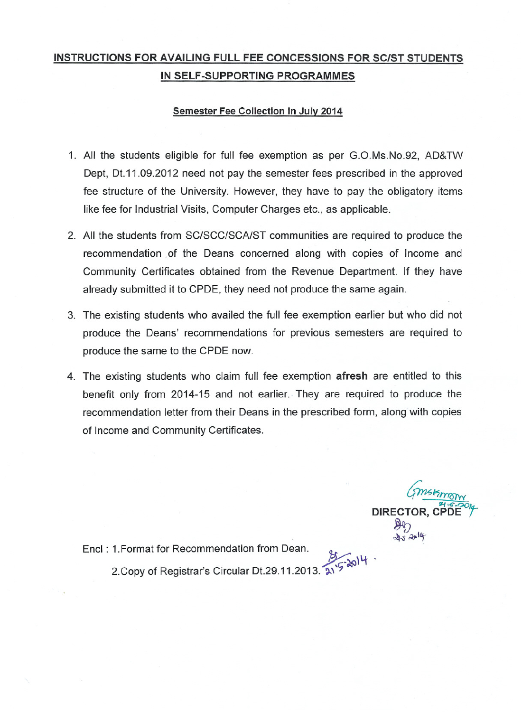## INSTRUCTIONS FOR AVAILING FULL FEE CONCESSIONS FOR SC/ST STUDENTS IN SELF-SUPPORTING PROGRAMMES

#### Semester Fee Collection in July 2014

- 1. All the students eligible for full fee exemption as per G.O.Ms.No.92, AD&TW Dept, Dt.11.09.2012 need not pay the semester fees prescribed in the approved fee structure of the University. However, they have to pay the obligatory items like fee for Industrial Visits, Computer Charges etc., as applicable.
- 2. All the students from SC/SCC/SCA/ST communities are required to produce the recommendation of the Deans concerned along with copies of Income and Community Certificates obtained from the Revenue Department. If they have already submitted it to CPDE, they need not produce the same again.
- 3. The existing students who availed the full fee exemption earlier but who did not produce the Deans' recommendations for previous semesters are required to produce the same to the CPDE now.
- 4. The existing students who claim full fee exemption afresh are entitled to this benefit only from 2014-15 and not earlier. They are required to produce the recommendation letter from their Deans in the prescribed form, along with copies of Income and Community Certificates.

DIRECTOR, C

Encl: 1. Format for Recommendation from Dean.

2. Copy of Registrar's Circular Dt.29.11.2013.  $2^{15}$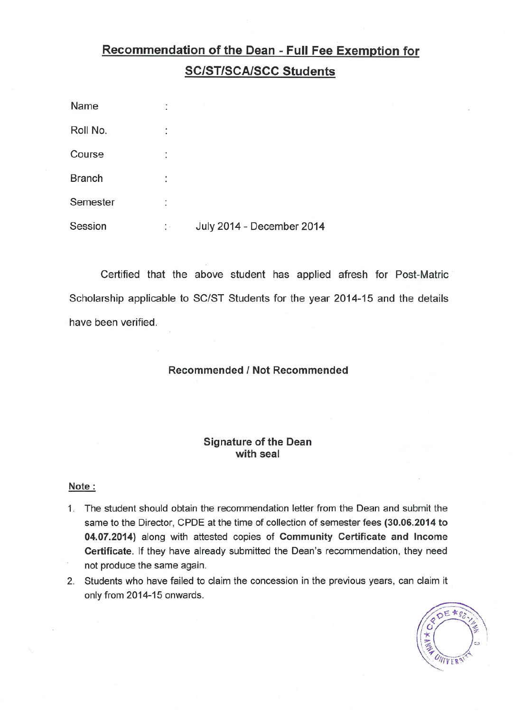# Recommendation of the Dean - Full Fee Exemption for **SC/ST/SCA/SCC Students**

| Name          |    |                           |
|---------------|----|---------------------------|
| Roll No.      | ٠  |                           |
| Course        | ٠  |                           |
| <b>Branch</b> | ٠  |                           |
| Semester      | ٠  |                           |
| Session       | ÷. | July 2014 - December 2014 |

Certified that the above student has applied afresh for Post-Matric· Scholarship applicable to SC/ST Students for the year 2014-15 and the details have been verified.

#### Recommended I Not Recommended

#### Signature of the Dean with seal

#### Note:

- 1. The student should obtain the recommendation letter from the Dean and submit the same to the Director, CPDE at the time of collection of semester fees (30.06.2014 to 04.07.2014) along with attested copies of Community Certificate and Income Certificate. If they have already submitted the Dean's recommendation, they need not produce the same again.
- 2. Students who have failed to claim the concession in the previous years, can claim it only from 2014-15 onwards.